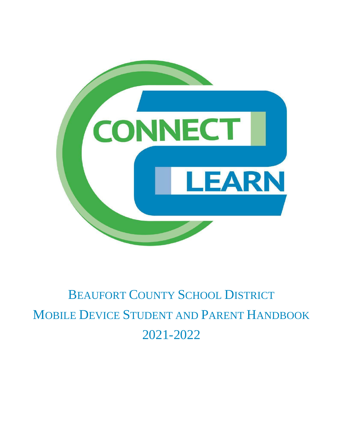

# BEAUFORT COUNTY SCHOOL DISTRICT MOBILE DEVICE STUDENT AND PARENT HANDBOOK 2021-2022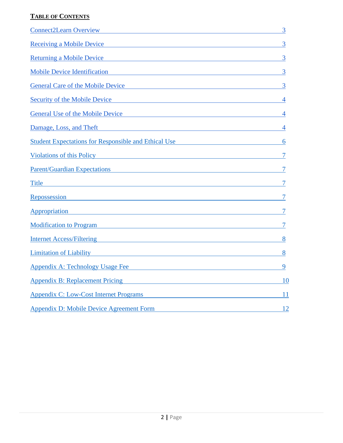# **TABLE OF CONTENTS**

| <b>Connect2Learn Overview Connect2Learn Overview</b>                                                                                                                                                                                 | 3              |
|--------------------------------------------------------------------------------------------------------------------------------------------------------------------------------------------------------------------------------------|----------------|
| Receiving a Mobile Device <b>Example 2018</b> 2019 12:00 AM 2019 12:00 2019 12:00 AM 2019 12:00 2019 12:00 2019 12:00                                                                                                                | $\overline{3}$ |
| Returning a Mobile Device <b>Executive Contract Contract Contract Contract Contract Contract Contract Contract Contract Contract Contract Contract Contract Contract Contract Contract Contract Contract Contract Contract Contr</b> | 3              |
|                                                                                                                                                                                                                                      | 3              |
| General Care of the Mobile Device Contract of the Mobile Device                                                                                                                                                                      | $\overline{3}$ |
| Security of the Mobile Device                                                                                                                                                                                                        | 4              |
| <u>General Use of the Mobile Device Change and School and School and School and School and School and School and School and School and School and School and School and School and School and School and School and School and S</u> | 4              |
| Damage, Loss, and Theft <b>Exercise 2018</b> and The Exercise 2018 and The Exercise 2018 and The Exercise 2018 and The Exercise 2018 and The Exercise 2018 and The Exercise 2018 and The Exercise 2018 and The Exercise 2018 and Th  | 4              |
| <b>Student Expectations for Responsible and Ethical Use</b>                                                                                                                                                                          | 6              |
| Violations of this Policy and The Policy and The Policy and The Policy and The Policy and The Policy and The Policy                                                                                                                  |                |
| Parent/Guardian Expectations 2007 2007 2008 2009 2010 2010 2011 2012 2013 2014 2015 2016 2017 2018 2019 2019 20                                                                                                                      |                |
| Title <b>Example 2018</b> The Contract of the Contract of the Contract of the Contract of the Contract of the Contract of the Contract of the Contract of the Contract of the Contract of the Contract of the Contract of the Contr  |                |
| Repossession <b>Exercísion Exercísion Exercísion Exercísion Exercísion Exercísion Exercísion Exercísion</b>                                                                                                                          |                |
| Appropriation Appropriation Appropriation Appropriation Appropriation Appropriation Appropriation Appropriation                                                                                                                      |                |
| Modification to Program                                                                                                                                                                                                              |                |
| Internet Access/Filtering Theorem and Theorem and Theorem and Theorem and Theorem and Theorem and Theorem and Theorem and Theorem and Theorem and Theorem and Theorem and Theorem and Theorem and Theorem and Theorem and Theo       | 8              |
| <b>Limitation of Liability Exercísies Exercísies Exercísies Exercísies Exercísies</b>                                                                                                                                                | 8              |
| <b>Appendix A: Technology Usage Fee</b> Appendix A: Technology Usage Fee                                                                                                                                                             | 9              |
| <b>Appendix B: Replacement Pricing Service Services Appendix B: Replacement Pricing Service Services Services Services</b>                                                                                                           | <b>10</b>      |
| <b>Appendix C: Low-Cost Internet Programs</b>                                                                                                                                                                                        | 11             |
| Appendix D: Mobile Device Agreement Form                                                                                                                                                                                             | 12             |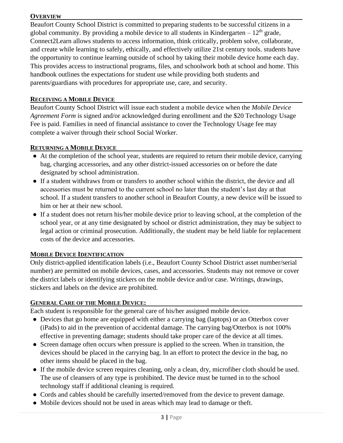#### <span id="page-2-0"></span>**OVERVIEW**

Beaufort County School District is committed to preparing students to be successful citizens in a global community. By providing a mobile device to all students in Kindergarten –  $12<sup>th</sup>$  grade, Connect2Learn allows students to access information, think critically, problem solve, collaborate, and create while learning to safely, ethically, and effectively utilize 21st century tools. students have the opportunity to continue learning outside of school by taking their mobile device home each day. This provides access to instructional programs, files, and schoolwork both at school and home. This handbook outlines the expectations for student use while providing both students and parents/guardians with procedures for appropriate use, care, and security.

#### <span id="page-2-1"></span>**RECEIVING A MOBILE DEVICE**

Beaufort County School District will issue each student a mobile device when the *Mobile Device Agreement Form* is signed and/or acknowledged during enrollment and the \$20 Technology Usage Fee is paid. Families in need of financial assistance to cover the Technology Usage fee may complete a waiver through their school Social Worker.

#### <span id="page-2-2"></span>**RETURNING A MOBILE DEVICE**

- At the completion of the school year, students are required to return their mobile device, carrying bag, charging accessories, and any other district-issued accessories on or before the date designated by school administration.
- If a student withdraws from or transfers to another school within the district, the device and all accessories must be returned to the current school no later than the student's last day at that school. If a student transfers to another school in Beaufort County, a new device will be issued to him or her at their new school.
- If a student does not return his/her mobile device prior to leaving school, at the completion of the school year, or at any time designated by school or district administration, they may be subject to legal action or criminal prosecution. Additionally, the student may be held liable for replacement costs of the device and accessories.

#### <span id="page-2-3"></span>**MOBILE DEVICE IDENTIFICATION**

Only district-applied identification labels (i.e., Beaufort County School District asset number/serial number) are permitted on mobile devices, cases, and accessories. Students may not remove or cover the district labels or identifying stickers on the mobile device and/or case. Writings, drawings, stickers and labels on the device are prohibited.

#### <span id="page-2-4"></span>**GENERAL CARE OF THE MOBILE DEVICE:**

Each student is responsible for the general care of his/her assigned mobile device.

- Devices that go home are equipped with either a carrying bag (laptops) or an Otterbox cover (iPads) to aid in the prevention of accidental damage. The carrying bag/Otterbox is not 100% effective in preventing damage; students should take proper care of the device at all times.
- Screen damage often occurs when pressure is applied to the screen. When in transition, the devices should be placed in the carrying bag. In an effort to protect the device in the bag, no other items should be placed in the bag.
- If the mobile device screen requires cleaning, only a clean, dry, microfiber cloth should be used. The use of cleansers of any type is prohibited. The device must be turned in to the school technology staff if additional cleaning is required.
- Cords and cables should be carefully inserted/removed from the device to prevent damage.
- Mobile devices should not be used in areas which may lead to damage or theft.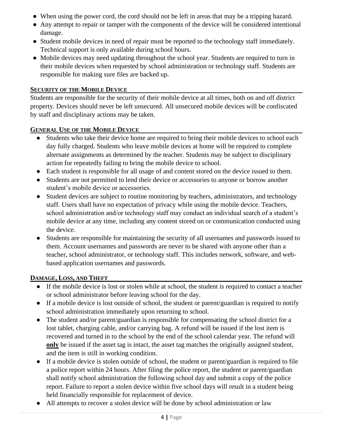- When using the power cord, the cord should not be left in areas that may be a tripping hazard.
- Any attempt to repair or tamper with the components of the device will be considered intentional damage.
- Student mobile devices in need of repair must be reported to the technology staff immediately. Technical support is only available during school hours.
- Mobile devices may need updating throughout the school year. Students are required to turn in their mobile devices when requested by school administration or technology staff. Students are responsible for making sure files are backed up.

### <span id="page-3-0"></span>**SECURITY OF THE MOBILE DEVICE**

Students are responsible for the security of their mobile device at all times, both on and off district property. Devices should never be left unsecured. All unsecured mobile devices will be confiscated by staff and disciplinary actions may be taken.

# <span id="page-3-1"></span>**GENERAL USE OF THE MOBILE DEVICE**

- Students who take their device home are required to bring their mobile devices to school each day fully charged. Students who leave mobile devices at home will be required to complete alternate assignments as determined by the teacher. Students may be subject to disciplinary action for repeatedly failing to bring the mobile device to school.
- Each student is responsible for all usage of and content stored on the device issued to them.
- Students are not permitted to lend their device or accessories to anyone or borrow another student's mobile device or accessories.
- Student devices are subject to routine monitoring by teachers, administrators, and technology staff. Users shall have no expectation of privacy while using the mobile device. Teachers, school administration and/or technology staff may conduct an individual search of a student's mobile device at any time, including any content stored on or communication conducted using the device.
- Students are responsible for maintaining the security of all usernames and passwords issued to them. Account usernames and passwords are never to be shared with anyone other than a teacher, school administrator, or technology staff. This includes network, software, and webbased application usernames and passwords.

# <span id="page-3-2"></span>**DAMAGE, LOSS, AND THEFT**

- If the mobile device is lost or stolen while at school, the student is required to contact a teacher or school administrator before leaving school for the day.
- If a mobile device is lost outside of school, the student or parent/guardian is required to notify school administration immediately upon returning to school.
- The student and/or parent/guardian is responsible for compensating the school district for a lost tablet, charging cable, and/or carrying bag. A refund will be issued if the lost item is recovered and turned in to the school by the end of the school calendar year. The refund will **only** be issued if the asset tag is intact, the asset tag matches the originally assigned student, and the item is still in working condition.
- If a mobile device is stolen outside of school, the student or parent/guardian is required to file a police report within 24 hours. After filing the police report, the student or parent/guardian shall notify school administration the following school day and submit a copy of the police report. Failure to report a stolen device within five school days will result in a student being held financially responsible for replacement of device.
- All attempts to recover a stolen device will be done by school administration or law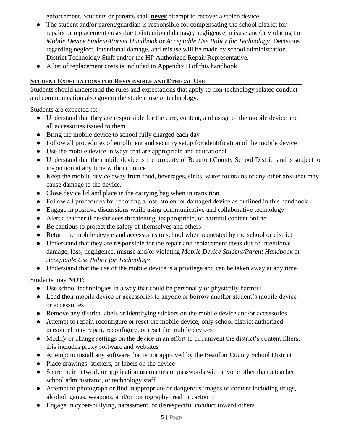enforcement. Students or parents shall **never** attempt to recover a stolen device.

- The student and/or parent/guardian is responsible for compensating the school district for repairs or replacement costs due to intentional damage, negligence, misuse and/or violating the *Mobile Device Student/Parent Handbook* or *Acceptable Use Policy for Technology*. Decisions regarding neglect, intentional damage, and misuse will be made by school administration, District Technology Staff and/or the HP Authorized Repair Representative.
- A list of replacement costs is included in Appendix B of this handbook.

# <span id="page-4-0"></span>**STUDENT EXPECTATIONS FOR RESPONSIBLE AND ETHICAL USE**

Students should understand the rules and expectations that apply to non-technology related conduct and communication also govern the student use of technology.

Students are expected to:

- Understand that they are responsible for the care, content, and usage of the mobile device and all accessories issued to them
- Bring the mobile device to school fully charged each day
- Follow all procedures of enrollment and security setup for identification of the mobile device
- Use the mobile device in ways that are appropriate and educational
- Understand that the mobile device is the property of Beaufort County School District and is subject to inspection at any time without notice
- Keep the mobile device away from food, beverages, sinks, water fountains or any other area that may cause damage to the device.
- Close device lid and place in the carrying bag when in transition.
- Follow all procedures for reporting a lost, stolen, or damaged device as outlined in this handbook
- Engage in positive discussions while using communicative and collaborative technology
- Alert a teacher if he/she sees threatening, inappropriate, or harmful content online
- Be cautious to protect the safety of themselves and others
- Return the mobile device and accessories to school when requested by the school or district
- Understand that they are responsible for the repair and replacement costs due to intentional damage, loss, negligence, misuse and/or violating *Mobile Device Student/Parent Handbook* or *Acceptable Use Policy for Technology*
- Understand that the use of the mobile device is a privilege and can be taken away at any time

Students may **NOT**:

- Use school technologies in a way that could be personally or physically harmful
- Lend their mobile device or accessories to anyone or borrow another student's mobile device or accessories
- Remove any district labels or identifying stickers on the mobile device and/or accessories
- Attempt to repair, reconfigure or reset the mobile device; only school district authorized personnel may repair, reconfigure, or reset the mobile devices
- Modify or change settings on the device in an effort to circumvent the district's content filters; this includes proxy software and websites
- Attempt to install any software that is not approved by the Beaufort County School District
- Place drawings, stickers, or labels on the device
- Share their network or application usernames or passwords with anyone other than a teacher, school administrator, or technology staff
- Attempt to photograph or find inappropriate or dangerous images or content including drugs, alcohol, gangs, weapons, and/or pornography (real or cartoon)
- Engage in cyber-bullying, harassment, or disrespectful conduct toward others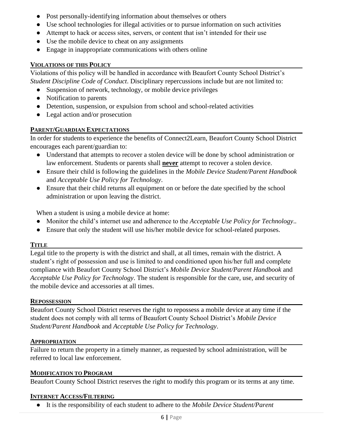- Post personally-identifying information about themselves or others
- Use school technologies for illegal activities or to pursue information on such activities
- Attempt to hack or access sites, servers, or content that isn't intended for their use
- Use the mobile device to cheat on any assignments
- Engage in inappropriate communications with others online

#### <span id="page-5-0"></span>**VIOLATIONS OF THIS POLICY**

Violations of this policy will be handled in accordance with Beaufort County School District's *Student Discipline Code of Conduct*. Disciplinary repercussions include but are not limited to:

- Suspension of network, technology, or mobile device privileges
- Notification to parents
- Detention, suspension, or expulsion from school and school-related activities
- Legal action and/or prosecution

#### <span id="page-5-1"></span>**PARENT/GUARDIAN EXPECTATIONS**

In order for students to experience the benefits of Connect2Learn, Beaufort County School District encourages each parent/guardian to:

- Understand that attempts to recover a stolen device will be done by school administration or law enforcement. Students or parents shall **never** attempt to recover a stolen device.
- Ensure their child is following the guidelines in the *Mobile Device Student/Parent Handbook* and *Acceptable Use Policy for Technology*.
- Ensure that their child returns all equipment on or before the date specified by the school administration or upon leaving the district.

When a student is using a mobile device at home:

- Monitor the child's internet use and adherence to the *Acceptable Use Policy for Technology*..
- Ensure that only the student will use his/her mobile device for school-related purposes.

#### <span id="page-5-2"></span>**TITLE**

Legal title to the property is with the district and shall, at all times, remain with the district. A student's right of possession and use is limited to and conditioned upon his/her full and complete compliance with Beaufort County School District's *Mobile Device Student/Parent Handbook* and *Acceptable Use Policy for Technology*. The student is responsible for the care, use, and security of the mobile device and accessories at all times.

#### <span id="page-5-3"></span>**REPOSSESSION**

Beaufort County School District reserves the right to repossess a mobile device at any time if the student does not comply with all terms of Beaufort County School District's *Mobile Device Student/Parent Handbook* and *Acceptable Use Policy for Technology*.

#### <span id="page-5-4"></span>**APPROPRIATION**

Failure to return the property in a timely manner, as requested by school administration, will be referred to local law enforcement.

#### <span id="page-5-5"></span>**MODIFICATION TO PROGRAM**

Beaufort County School District reserves the right to modify this program or its terms at any time.

#### <span id="page-5-6"></span>**INTERNET ACCESS/FILTERING**

● It is the responsibility of each student to adhere to the *Mobile Device Student/Parent*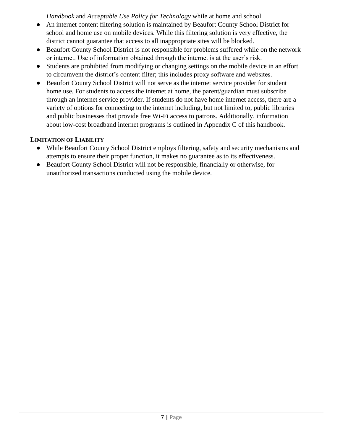*Handbook* and *Acceptable Use Policy for Technology* while at home and school.

- An internet content filtering solution is maintained by Beaufort County School District for school and home use on mobile devices. While this filtering solution is very effective, the district cannot guarantee that access to all inappropriate sites will be blocked.
- Beaufort County School District is not responsible for problems suffered while on the network or internet. Use of information obtained through the internet is at the user's risk.
- Students are prohibited from modifying or changing settings on the mobile device in an effort to circumvent the district's content filter; this includes proxy software and websites.
- Beaufort County School District will not serve as the internet service provider for student home use. For students to access the internet at home, the parent/guardian must subscribe through an internet service provider. If students do not have home internet access, there are a variety of options for connecting to the internet including, but not limited to, public libraries and public businesses that provide free Wi-Fi access to patrons. Additionally, information about low-cost broadband internet programs is outlined in Appendix C of this handbook.

# <span id="page-6-0"></span>**LIMITATION OF LIABILITY**

- While Beaufort County School District employs filtering, safety and security mechanisms and attempts to ensure their proper function, it makes no guarantee as to its effectiveness.
- Beaufort County School District will not be responsible, financially or otherwise, for unauthorized transactions conducted using the mobile device.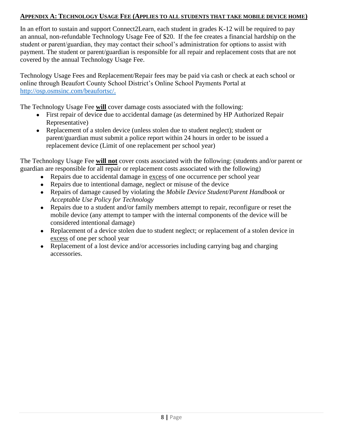#### <span id="page-7-0"></span>**APPENDIX A: TECHNOLOGY USAGE FEE (APPLIES TO ALL STUDENTS THAT TAKE MOBILE DEVICE HOME)**

In an effort to sustain and support Connect2Learn, each student in grades K-12 will be required to pay an annual, non-refundable Technology Usage Fee of \$20. If the fee creates a financial hardship on the student or parent/guardian, they may contact their school's administration for options to assist with payment. The student or parent/guardian is responsible for all repair and replacement costs that are not covered by the annual Technology Usage Fee.

Technology Usage Fees and Replacement/Repair fees may be paid via cash or check at each school or online through Beaufort County School District's Online School Payments Portal at [http://osp.osmsinc.com/beaufortsc/.](http://osp.osmsinc.com/beaufortsc/)

The Technology Usage Fee **will** cover damage costs associated with the following:

- First repair of device due to accidental damage (as determined by HP Authorized Repair Representative)
- Replacement of a stolen device (unless stolen due to student neglect); student or parent/guardian must submit a police report within 24 hours in order to be issued a replacement device (Limit of one replacement per school year)

The Technology Usage Fee **will not** cover costs associated with the following: (students and/or parent or guardian are responsible for all repair or replacement costs associated with the following)

- Repairs due to accidental damage in excess of one occurrence per school year
- Repairs due to intentional damage, neglect or misuse of the device
- Repairs of damage caused by violating the *Mobile Device Student/Parent Handbook* or *Acceptable Use Policy for Technology*
- Repairs due to a student and/or family members attempt to repair, reconfigure or reset the mobile device (any attempt to tamper with the internal components of the device will be considered intentional damage)
- Replacement of a device stolen due to student neglect; or replacement of a stolen device in excess of one per school year
- Replacement of a lost device and/or accessories including carrying bag and charging accessories.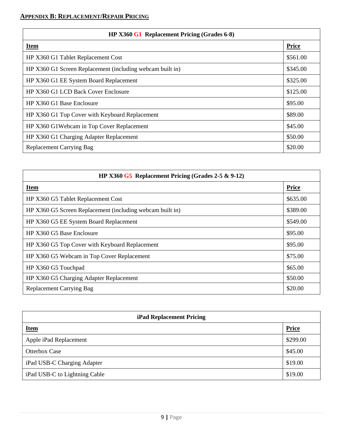#### <span id="page-8-0"></span>**APPENDIX B: REPLACEMENT/REPAIR PRICING**

| HP X360 G1 Replacement Pricing (Grades 6-8)               |          |  |
|-----------------------------------------------------------|----------|--|
| <b>Item</b>                                               | Price    |  |
| HP X360 G1 Tablet Replacement Cost                        | \$561.00 |  |
| HP X360 G1 Screen Replacement (including webcam built in) | \$345.00 |  |
| HP X360 G1 EE System Board Replacement                    | \$325.00 |  |
| HP X360 G1 LCD Back Cover Enclosure                       | \$125.00 |  |
| HP X360 G1 Base Enclosure                                 | \$95.00  |  |
| HP X360 G1 Top Cover with Keyboard Replacement            | \$89.00  |  |
| HP X360 G1Webcam in Top Cover Replacement                 | \$45.00  |  |
| HP X360 G1 Charging Adapter Replacement                   | \$50.00  |  |
| <b>Replacement Carrying Bag</b>                           | \$20.00  |  |

| HP X360 $G5$ Replacement Pricing (Grades 2-5 & 9-12)      |              |  |
|-----------------------------------------------------------|--------------|--|
| <b>Item</b>                                               | <b>Price</b> |  |
| HP X360 G5 Tablet Replacement Cost                        | \$635.00     |  |
| HP X360 G5 Screen Replacement (including webcam built in) | \$389.00     |  |
| HP X360 G5 EE System Board Replacement                    | \$549.00     |  |
| HP X360 G5 Base Enclosure                                 | \$95.00      |  |
| HP X360 G5 Top Cover with Keyboard Replacement            | \$95.00      |  |
| HP X360 G5 Webcam in Top Cover Replacement                | \$75.00      |  |
| HP X360 G5 Touchpad                                       | \$65.00      |  |
| HP X360 G5 Charging Adapter Replacement                   | \$50.00      |  |
| <b>Replacement Carrying Bag</b>                           | \$20.00      |  |

| <b>iPad Replacement Pricing</b> |              |  |
|---------------------------------|--------------|--|
| <b>Item</b>                     | <b>Price</b> |  |
| Apple iPad Replacement          | \$299.00     |  |
| <b>Otterbox Case</b>            | \$45.00      |  |
| iPad USB-C Charging Adapter     | \$19.00      |  |
| iPad USB-C to Lightning Cable   | \$19.00      |  |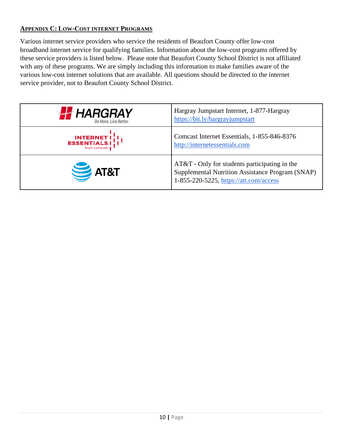### <span id="page-9-0"></span>**APPENDIX C: LOW-COST INTERNET PROGRAMS**

Various internet service providers who service the residents of Beaufort County offer low-cost broadband internet service for qualifying families. Information about the low-cost programs offered by these service providers is listed below. Please note that Beaufort County School District is not affiliated with any of these programs. We are simply including this information to make families aware of the various low-cost internet solutions that are available. All questions should be directed to the internet service provider, not to Beaufort County School District.

| <b>FF</b> HARGRAY                                                 | Hargray Jumpstart Internet, 1-877-Hargray<br>https://bit.ly/hargrayjumpstart                                                                |
|-------------------------------------------------------------------|---------------------------------------------------------------------------------------------------------------------------------------------|
| <b>INTERNET I</b><br><b>ESSENTIALS I</b><br>from Comcast <b>I</b> | Comcast Internet Essentials, 1-855-846-8376<br>http://internetessentials.com                                                                |
| $\sum$ AT&T                                                       | AT&T - Only for students participating in the<br>Supplemental Nutrition Assistance Program (SNAP)<br>1-855-220-5225, https://att.com/access |